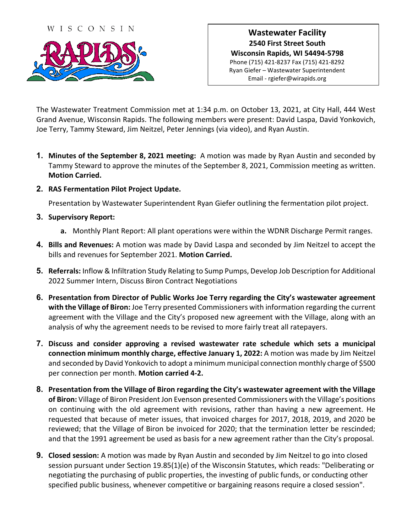

## **Wastewater Facility 2540 First Street South Wisconsin Rapids, WI 54494-5798** Phone (715) 421-8237 Fax (715) 421-8292 Ryan Giefer – Wastewater Superintendent Email - rgiefer@wirapids.org

The Wastewater Treatment Commission met at 1:34 p.m. on October 13, 2021, at City Hall, 444 West Grand Avenue, Wisconsin Rapids. The following members were present: David Laspa, David Yonkovich, Joe Terry, Tammy Steward, Jim Neitzel, Peter Jennings (via video), and Ryan Austin.

- **1. Minutes of the September 8, 2021 meeting:** A motion was made by Ryan Austin and seconded by Tammy Steward to approve the minutes of the September 8, 2021, Commission meeting as written. **Motion Carried.**
- **2. RAS Fermentation Pilot Project Update.**

Presentation by Wastewater Superintendent Ryan Giefer outlining the fermentation pilot project.

- **3. Supervisory Report:**
	- **a.** Monthly Plant Report: All plant operations were within the WDNR Discharge Permit ranges.
- **4. Bills and Revenues:** A motion was made by David Laspa and seconded by Jim Neitzel to accept the bills and revenues for September 2021. **Motion Carried.**
- **5. Referrals:** Inflow & Infiltration Study Relating to Sump Pumps, Develop Job Description for Additional 2022 Summer Intern, Discuss Biron Contract Negotiations
- **6. Presentation from Director of Public Works Joe Terry regarding the City's wastewater agreement with the Village of Biron:** Joe Terry presented Commissioners with information regarding the current agreement with the Village and the City's proposed new agreement with the Village, along with an analysis of why the agreement needs to be revised to more fairly treat all ratepayers.
- **7. Discuss and consider approving a revised wastewater rate schedule which sets a municipal connection minimum monthly charge, effective January 1, 2022:** A motion was made by Jim Neitzel and seconded by David Yonkovich to adopt a minimum municipal connection monthly charge of \$500 per connection per month. **Motion carried 4-2.**
- **8. Presentation from the Village of Biron regarding the City's wastewater agreement with the Village of Biron:** Village of Biron President Jon Evenson presented Commissioners with the Village's positions on continuing with the old agreement with revisions, rather than having a new agreement. He requested that because of meter issues, that invoiced charges for 2017, 2018, 2019, and 2020 be reviewed; that the Village of Biron be invoiced for 2020; that the termination letter be rescinded; and that the 1991 agreement be used as basis for a new agreement rather than the City's proposal.
- **9. Closed session:** A motion was made by Ryan Austin and seconded by Jim Neitzel to go into closed session pursuant under Section 19.85(1)(e) of the Wisconsin Statutes, which reads: "Deliberating or negotiating the purchasing of public properties, the investing of public funds, or conducting other specified public business, whenever competitive or bargaining reasons require a closed session".